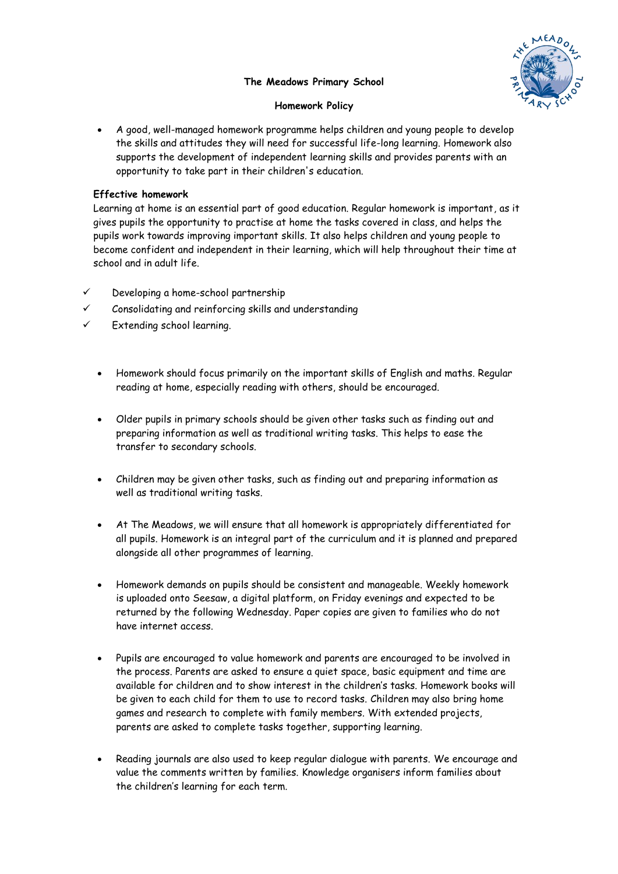## **The Meadows Primary School**



## **Homework Policy**

 A good, well-managed homework programme helps children and young people to develop the skills and attitudes they will need for successful life-long learning. Homework also supports the development of independent learning skills and provides parents with an opportunity to take part in their children's education.

## **Effective homework**

Learning at home is an essential part of good education. Regular homework is important, as it gives pupils the opportunity to practise at home the tasks covered in class, and helps the pupils work towards improving important skills. It also helps children and young people to become confident and independent in their learning, which will help throughout their time at school and in adult life.

- $\checkmark$  Developing a home-school partnership
- Consolidating and reinforcing skills and understanding
- Extending school learning.
	- Homework should focus primarily on the important skills of English and maths. Regular reading at home, especially reading with others, should be encouraged.
	- Older pupils in primary schools should be given other tasks such as finding out and preparing information as well as traditional writing tasks. This helps to ease the transfer to secondary schools.
	- Children may be given other tasks, such as finding out and preparing information as well as traditional writing tasks.
	- At The Meadows, we will ensure that all homework is appropriately differentiated for all pupils. Homework is an integral part of the curriculum and it is planned and prepared alongside all other programmes of learning.
	- Homework demands on pupils should be consistent and manageable. Weekly homework is uploaded onto Seesaw, a digital platform, on Friday evenings and expected to be returned by the following Wednesday. Paper copies are given to families who do not have internet access.
	- Pupils are encouraged to value homework and parents are encouraged to be involved in the process. Parents are asked to ensure a quiet space, basic equipment and time are available for children and to show interest in the children's tasks. Homework books will be given to each child for them to use to record tasks. Children may also bring home games and research to complete with family members. With extended projects, parents are asked to complete tasks together, supporting learning.
	- Reading journals are also used to keep regular dialogue with parents. We encourage and value the comments written by families. Knowledge organisers inform families about the children's learning for each term.